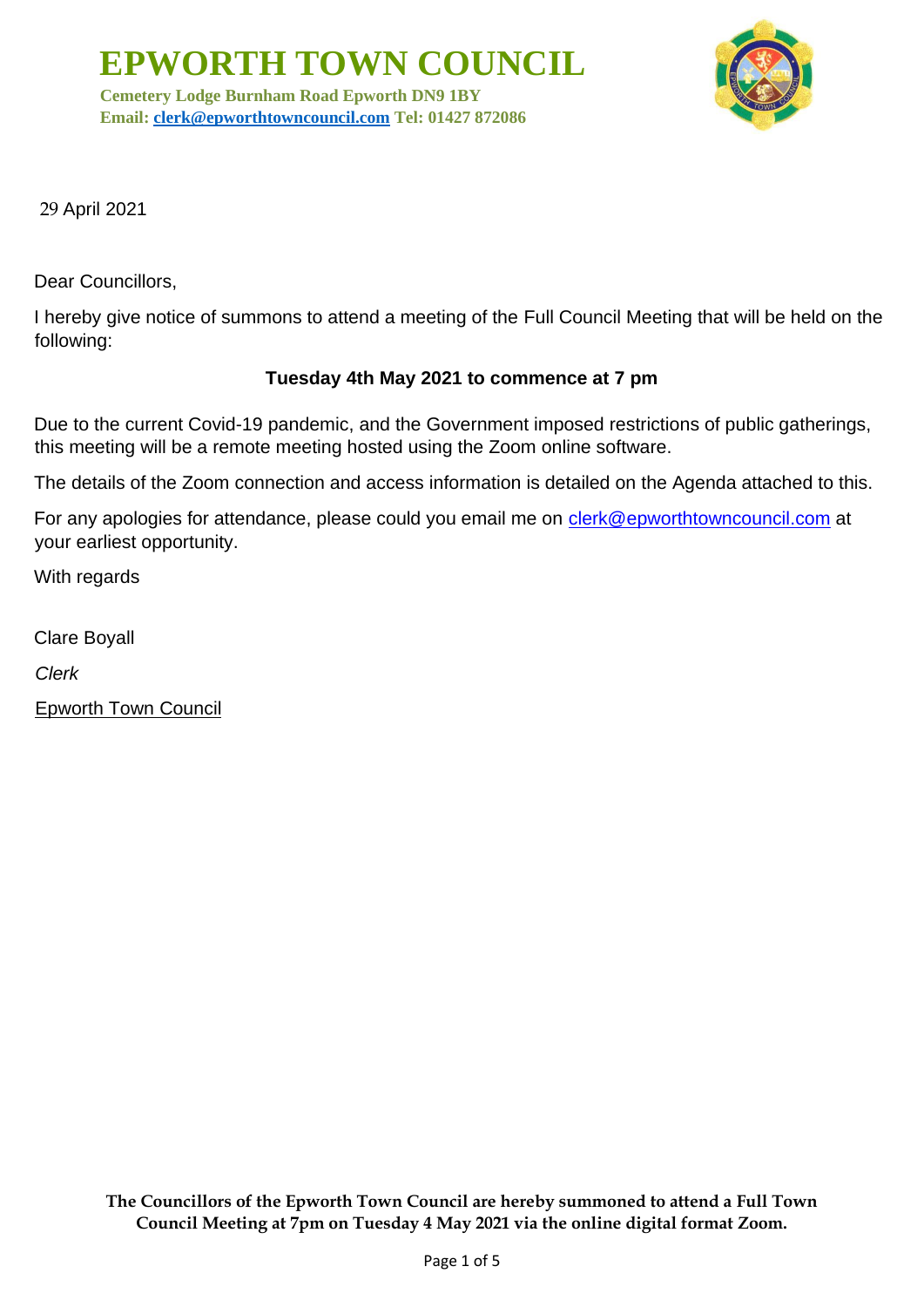**Cemetery Lodge Burnham Road Epworth DN9 1BY Email: [clerk@epworthtowncouncil.com](mailto:clerk@epworthtowncouncil.com) Tel: 01427 872086**



29 April 2021

Dear Councillors,

I hereby give notice of summons to attend a meeting of the Full Council Meeting that will be held on the following:

# **Tuesday 4th May 2021 to commence at 7 pm**

Due to the current Covid-19 pandemic, and the Government imposed restrictions of public gatherings, this meeting will be a remote meeting hosted using the Zoom online software.

The details of the Zoom connection and access information is detailed on the Agenda attached to this.

For any apologies for attendance, please could you email me on clerk@epworthtowncouncil.com at your earliest opportunity.

With regards

Clare Boyall

*Clerk*

Epworth Town Council

**The Councillors of the Epworth Town Council are hereby summoned to attend a Full Town Council Meeting at 7pm on Tuesday 4 May 2021 via the online digital format Zoom.**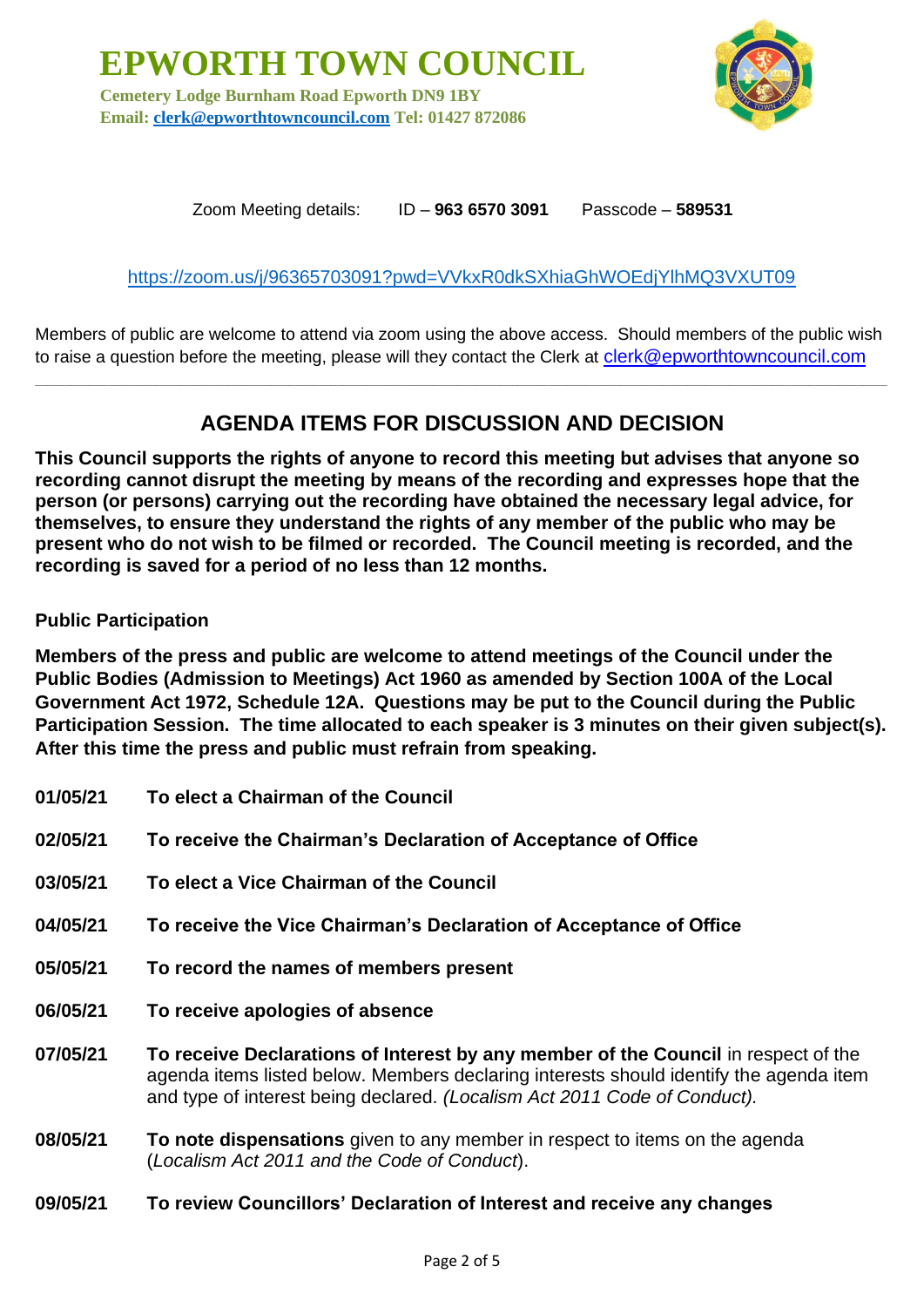**EPWORTH TOWN COUNCIL Cemetery Lodge Burnham Road Epworth DN9 1BY Email: [clerk@epworthtowncouncil.com](mailto:clerk@epworthtowncouncil.com) Tel: 01427 872086**



Zoom Meeting details: ID – **963 6570 3091** Passcode – **589531**

## <https://zoom.us/j/96365703091?pwd=VVkxR0dkSXhiaGhWOEdjYlhMQ3VXUT09>

Members of public are welcome to attend via zoom using the above access. Should members of the public wish to raise a question before the meeting, please will they contact the Clerk at clerk@epworthtowncouncil.com

**\_\_\_\_\_\_\_\_\_\_\_\_\_\_\_\_\_\_\_\_\_\_\_\_\_\_\_\_\_\_\_\_\_\_\_\_\_\_\_\_\_\_\_\_\_\_\_\_\_\_\_\_\_\_\_\_\_\_\_\_\_\_\_\_\_\_\_\_\_\_\_\_\_\_\_\_\_\_\_\_\_\_\_\_\_\_\_\_\_\_\_\_\_\_\_\_\_\_\_\_\_\_\_\_\_\_\_\_\_\_\_\_\_\_\_\_\_\_\_\_\_\_\_\_\_\_\_\_\_\_\_\_\_\_\_\_\_\_\_\_\_**

# **AGENDA ITEMS FOR DISCUSSION AND DECISION**

**This Council supports the rights of anyone to record this meeting but advises that anyone so recording cannot disrupt the meeting by means of the recording and expresses hope that the person (or persons) carrying out the recording have obtained the necessary legal advice, for themselves, to ensure they understand the rights of any member of the public who may be present who do not wish to be filmed or recorded. The Council meeting is recorded, and the recording is saved for a period of no less than 12 months.**

#### **Public Participation**

**Members of the press and public are welcome to attend meetings of the Council under the Public Bodies (Admission to Meetings) Act 1960 as amended by Section 100A of the Local Government Act 1972, Schedule 12A. Questions may be put to the Council during the Public Participation Session. The time allocated to each speaker is 3 minutes on their given subject(s). After this time the press and public must refrain from speaking.**

| 01/05/21 | To elect a Chairman of the Council                                                                                                                                           |
|----------|------------------------------------------------------------------------------------------------------------------------------------------------------------------------------|
| 02/05/21 | To receive the Chairman's Declaration of Acceptance of Office                                                                                                                |
| 03/05/21 | To elect a Vice Chairman of the Council                                                                                                                                      |
| 04/05/21 | To receive the Vice Chairman's Declaration of Acceptance of Office                                                                                                           |
| 05/05/21 | To record the names of members present                                                                                                                                       |
| 06/05/21 | To receive apologies of absence                                                                                                                                              |
| 07/05/21 | To receive Declarations of Interest by any member of the Council in respect of the<br>agenda items listed below. Members declaring interests should identify the agenda item |
|          | and type of interest being declared. (Localism Act 2011 Code of Conduct).                                                                                                    |

#### **09/05/21 To review Councillors' Declaration of Interest and receive any changes**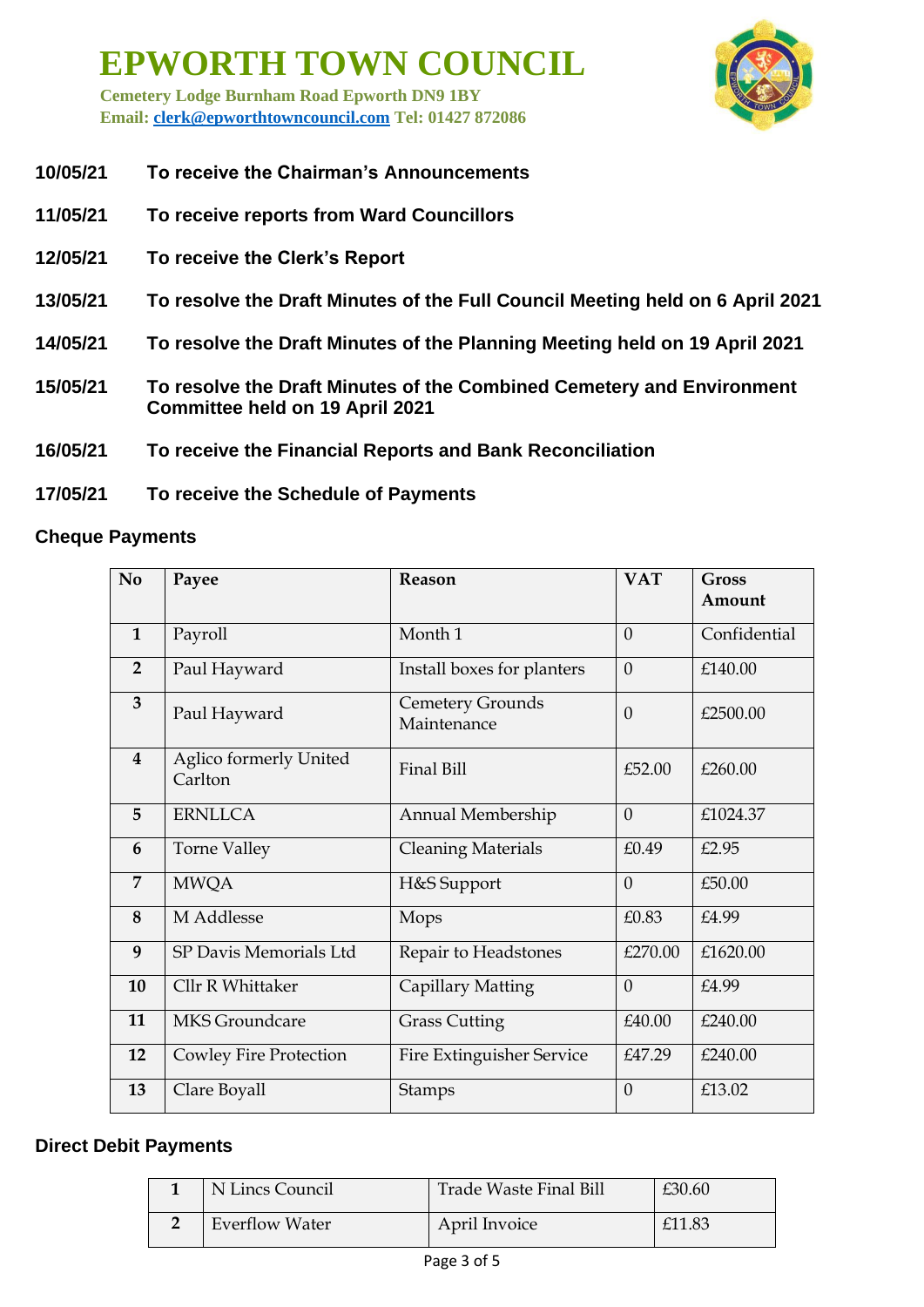**Cemetery Lodge Burnham Road Epworth DN9 1BY Email: [clerk@epworthtowncouncil.com](mailto:clerk@epworthtowncouncil.com) Tel: 01427 872086**



- **10/05/21 To receive the Chairman's Announcements**
- **11/05/21 To receive reports from Ward Councillors**
- **12/05/21 To receive the Clerk's Report**
- **13/05/21 To resolve the Draft Minutes of the Full Council Meeting held on 6 April 2021**
- **14/05/21 To resolve the Draft Minutes of the Planning Meeting held on 19 April 2021**
- **15/05/21 To resolve the Draft Minutes of the Combined Cemetery and Environment Committee held on 19 April 2021**
- **16/05/21 To receive the Financial Reports and Bank Reconciliation**
- **17/05/21 To receive the Schedule of Payments**

## **Cheque Payments**

| N <sub>o</sub>          | Payee                             | Reason                                 | <b>VAT</b>     | <b>Gross</b><br>Amount |
|-------------------------|-----------------------------------|----------------------------------------|----------------|------------------------|
| $\mathbf{1}$            | Payroll                           | Month 1                                | $\theta$       | Confidential           |
| $\overline{2}$          | Paul Hayward                      | Install boxes for planters             | $\theta$       | £140.00                |
| 3                       | Paul Hayward                      | <b>Cemetery Grounds</b><br>Maintenance | $\Omega$       | £2500.00               |
| $\overline{\mathbf{4}}$ | Aglico formerly United<br>Carlton | Final Bill                             | £52.00         | £260.00                |
| 5                       | <b>ERNLLCA</b>                    | Annual Membership                      | $\overline{0}$ | £1024.37               |
| 6                       | <b>Torne Valley</b>               | <b>Cleaning Materials</b>              | £0.49          | £2.95                  |
| 7                       | <b>MWQA</b>                       | H&S Support                            | $\theta$       | £50.00                 |
| 8                       | M Addlesse                        | Mops                                   | £0.83          | £4.99                  |
| 9                       | SP Davis Memorials Ltd            | Repair to Headstones                   | £270.00        | £1620.00               |
| 10                      | Cllr R Whittaker                  | Capillary Matting                      | $\theta$       | £4.99                  |
| 11                      | <b>MKS</b> Groundcare             | <b>Grass Cutting</b>                   | £40.00         | £240.00                |
| 12                      | <b>Cowley Fire Protection</b>     | <b>Fire Extinguisher Service</b>       | £47.29         | £240.00                |
| 13                      | Clare Boyall                      | <b>Stamps</b>                          | $\theta$       | £13.02                 |

#### **Direct Debit Payments**

| N Lincs Council       | Trade Waste Final Bill | £30.60 |
|-----------------------|------------------------|--------|
| <b>Everflow Water</b> | April Invoice          | £11.83 |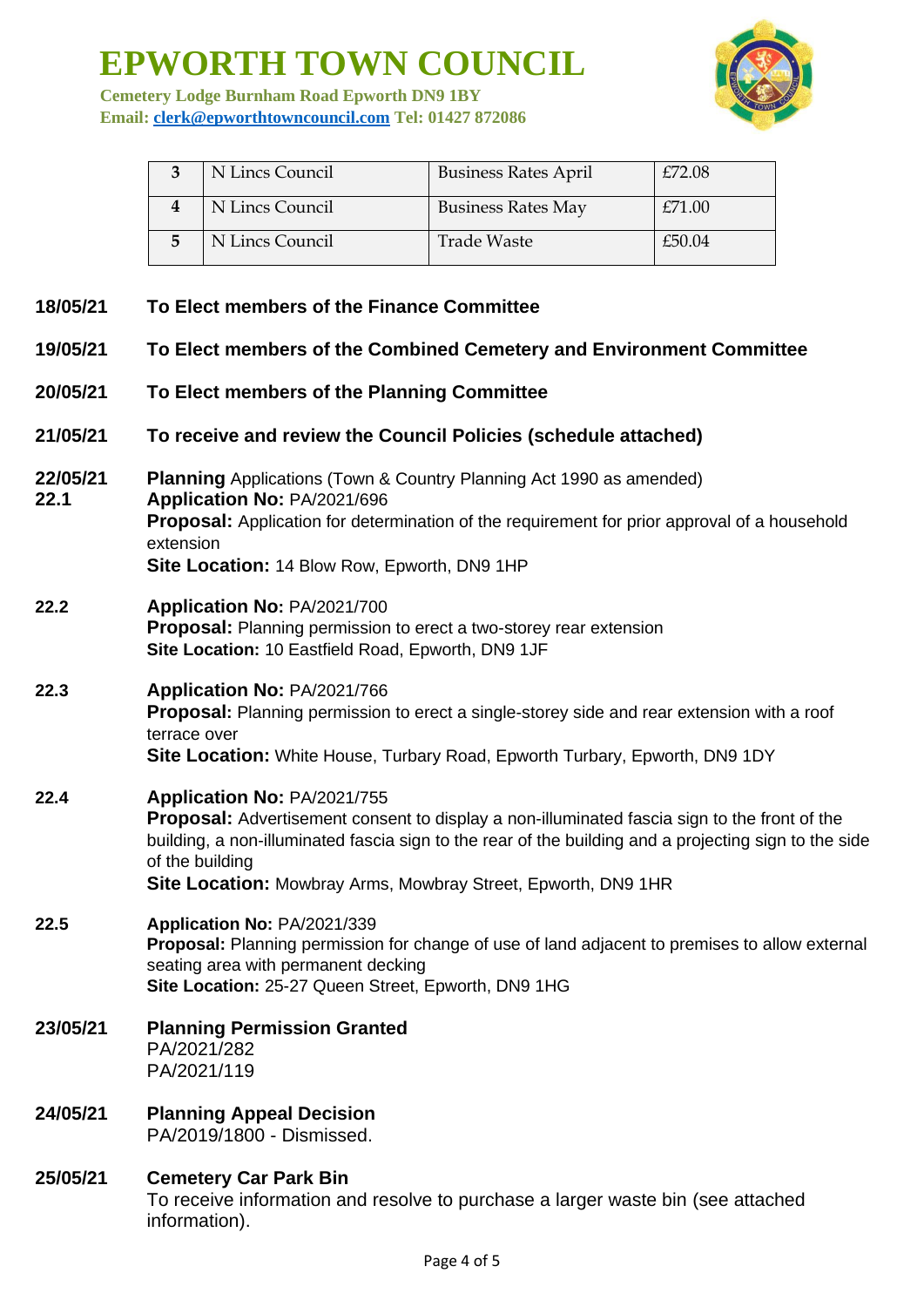**Cemetery Lodge Burnham Road Epworth DN9 1BY Email: [clerk@epworthtowncouncil.com](mailto:clerk@epworthtowncouncil.com) Tel: 01427 872086**



| N Lincs Council | <b>Business Rates April</b> | £72.08 |
|-----------------|-----------------------------|--------|
| N Lincs Council | <b>Business Rates May</b>   | £71.00 |
| N Lincs Council | Trade Waste                 | £50.04 |

- **18/05/21 To Elect members of the Finance Committee**
- **19/05/21 To Elect members of the Combined Cemetery and Environment Committee**
- **20/05/21 To Elect members of the Planning Committee**
- **21/05/21 To receive and review the Council Policies (schedule attached)**
- **22/05/21 Planning** Applications (Town & Country Planning Act 1990 as amended) **22.1 Application No:** PA/2021/696 **Proposal:** Application for determination of the requirement for prior approval of a household extension **Site Location:** 14 Blow Row, Epworth, DN9 1HP
- **22.2 Application No:** PA/2021/700 **Proposal:** Planning permission to erect a two-storey rear extension **Site Location:** 10 Eastfield Road, Epworth, DN9 1JF
- **22.3 Application No:** PA/2021/766 **Proposal:** Planning permission to erect a single-storey side and rear extension with a roof terrace over **Site Location:** White House, Turbary Road, Epworth Turbary, Epworth, DN9 1DY
- **22.4 Application No:** PA/2021/755 **Proposal:** Advertisement consent to display a non-illuminated fascia sign to the front of the building, a non-illuminated fascia sign to the rear of the building and a projecting sign to the side of the building **Site Location:** Mowbray Arms, Mowbray Street, Epworth, DN9 1HR

# **22.5 Application No:** PA/2021/339 **Proposal:** Planning permission for change of use of land adjacent to premises to allow external seating area with permanent decking **Site Location:** 25-27 Queen Street, Epworth, DN9 1HG

- **23/05/21 Planning Permission Granted** PA/2021/282 PA/2021/119
- **24/05/21 Planning Appeal Decision** PA/2019/1800 - Dismissed.
- **25/05/21 Cemetery Car Park Bin** To receive information and resolve to purchase a larger waste bin (see attached information).